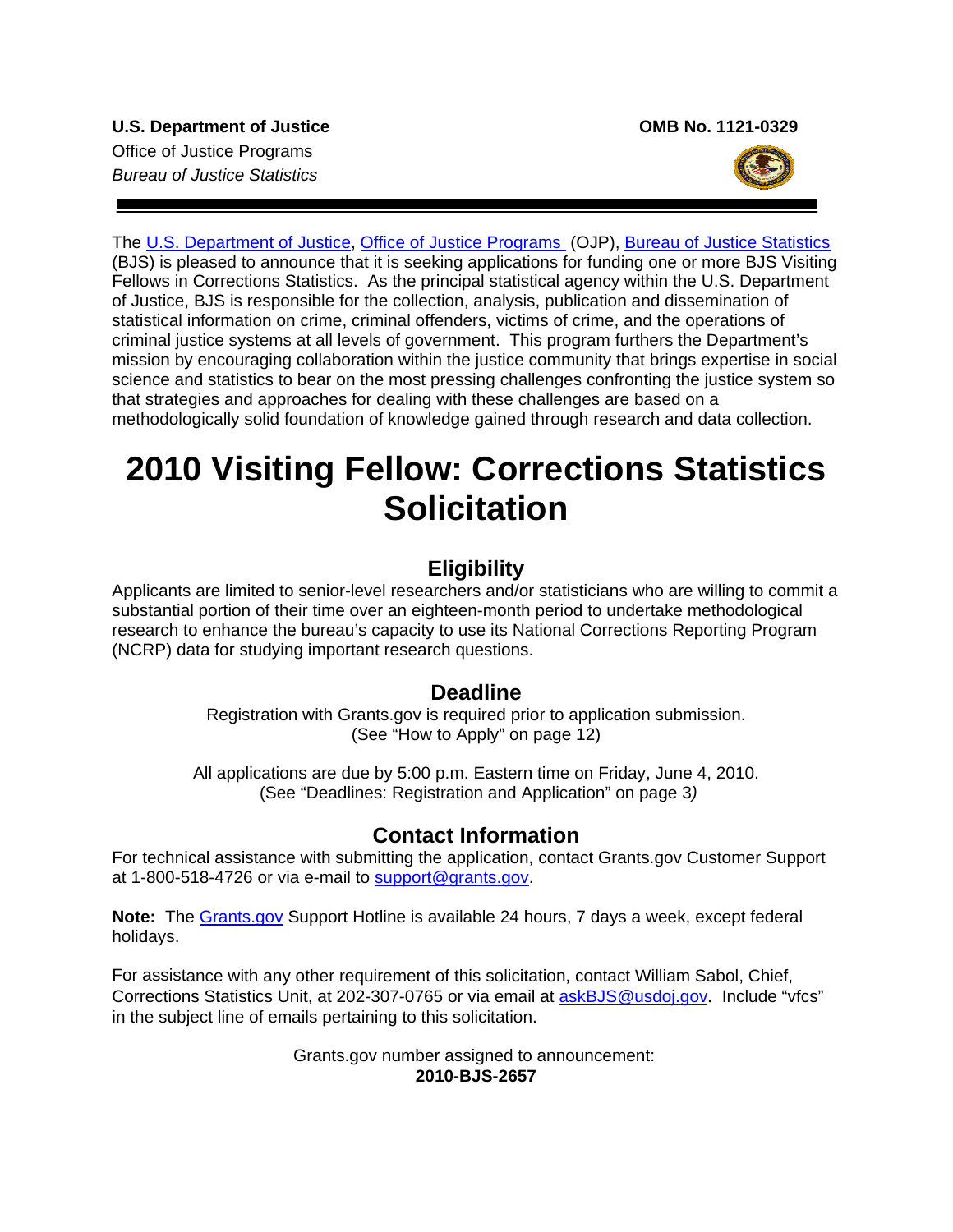

The [U.S. Department of Justice,](http://www.usdoj.gov/) [Office of Justice Programs](http://www.ojp.gov/flash.htm) (OJP), [Bureau of Justice Statistics](http://bjs.ojp.usdoj.gov/) (BJS) is pleased to announce that it is seeking applications for funding one or more BJS Visiting Fellows in Corrections Statistics. As the principal statistical agency within the U.S. Department of Justice, BJS is responsible for the collection, analysis, publication and dissemination of statistical information on crime, criminal offenders, victims of crime, and the operations of criminal justice systems at all levels of government. This program furthers the Department's mission by encouraging collaboration within the justice community that brings expertise in social science and statistics to bear on the most pressing challenges confronting the justice system so that strategies and approaches for dealing with these challenges are based on a methodologically solid foundation of knowledge gained through research and data collection.

# **2010 Visiting Fellow: Corrections Statistics Solicitation**

# **Eligibility**

Applicants are limited to senior-level researchers and/or statisticians who are willing to commit a substantial portion of their time over an eighteen-month period to undertake methodological research to enhance the bureau's capacity to use its National Corrections Reporting Program (NCRP) data for studying important research questions.

# **Deadline**

Registration with Grants.gov is required prior to application submission. (See "How to Apply" on page 12)

All applications are due by 5:00 p.m. Eastern time on Friday, June 4, 2010. (See "Deadlines: Registration and Application" on page 3*)* 

# **Contact Information**

For technical assistance with submitting the application, contact Grants.gov Customer Support at 1-800-518-4726 or via e-mail to support@grants.gov.

**Note:** The [Grants.gov](http://www.grants.gov/applicants/apply_for_grants.jsp) Support Hotline is available 24 hours, 7 days a week, except federal holidays.

For assistance with any other requirement of this solicitation, contact William Sabol, Chief, Corrections Statistics Unit, at 202-307-0765 or via email at **askBJS@usdoj.gov.** Include "vfcs" in the subject line of emails pertaining to this solicitation.

> Grants.gov number assigned to announcement: **2010-BJS-2657**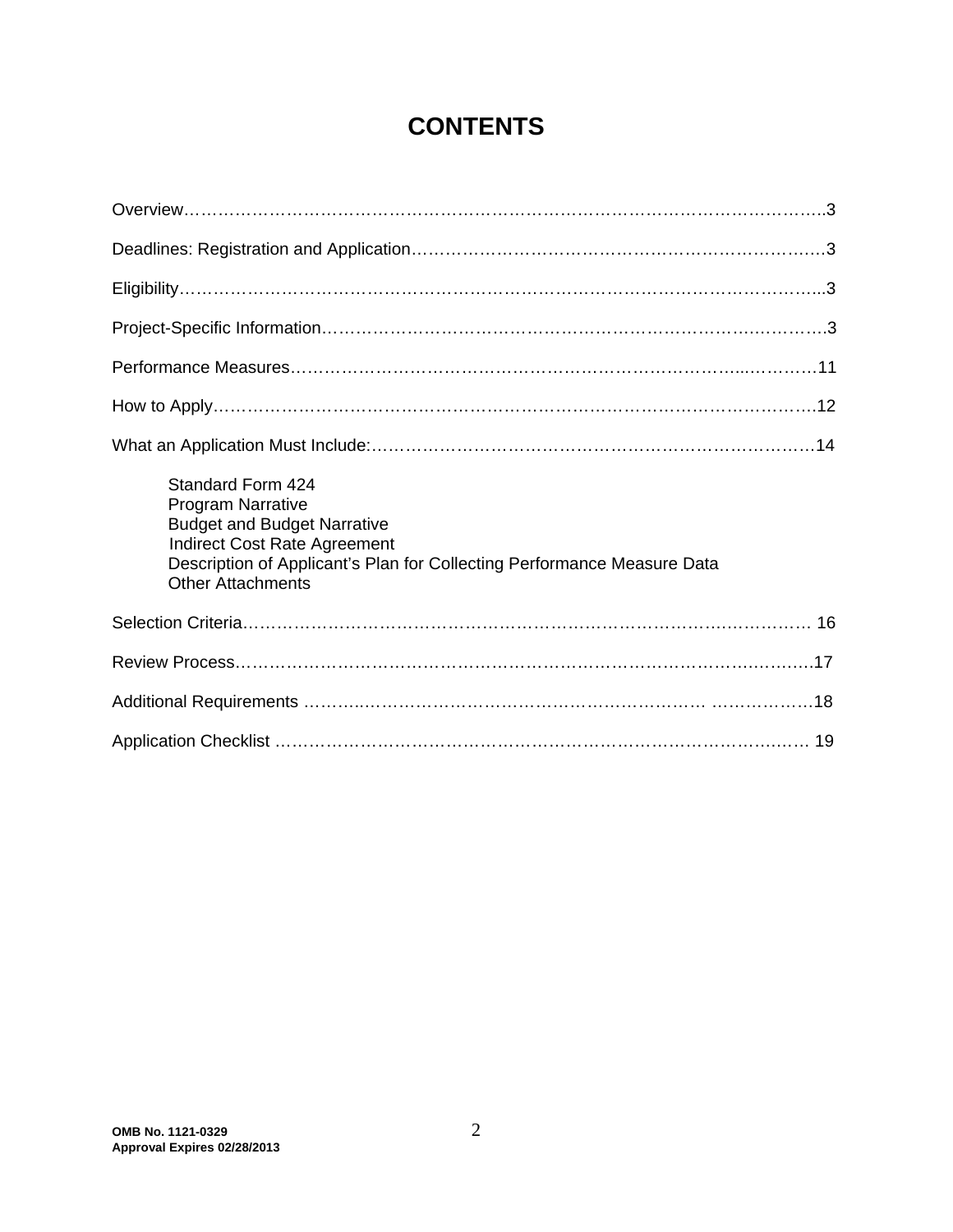# **CONTENTS**

| Standard Form 424<br><b>Program Narrative</b><br><b>Budget and Budget Narrative</b><br><b>Indirect Cost Rate Agreement</b><br>Description of Applicant's Plan for Collecting Performance Measure Data<br><b>Other Attachments</b> |
|-----------------------------------------------------------------------------------------------------------------------------------------------------------------------------------------------------------------------------------|
|                                                                                                                                                                                                                                   |
|                                                                                                                                                                                                                                   |
|                                                                                                                                                                                                                                   |
|                                                                                                                                                                                                                                   |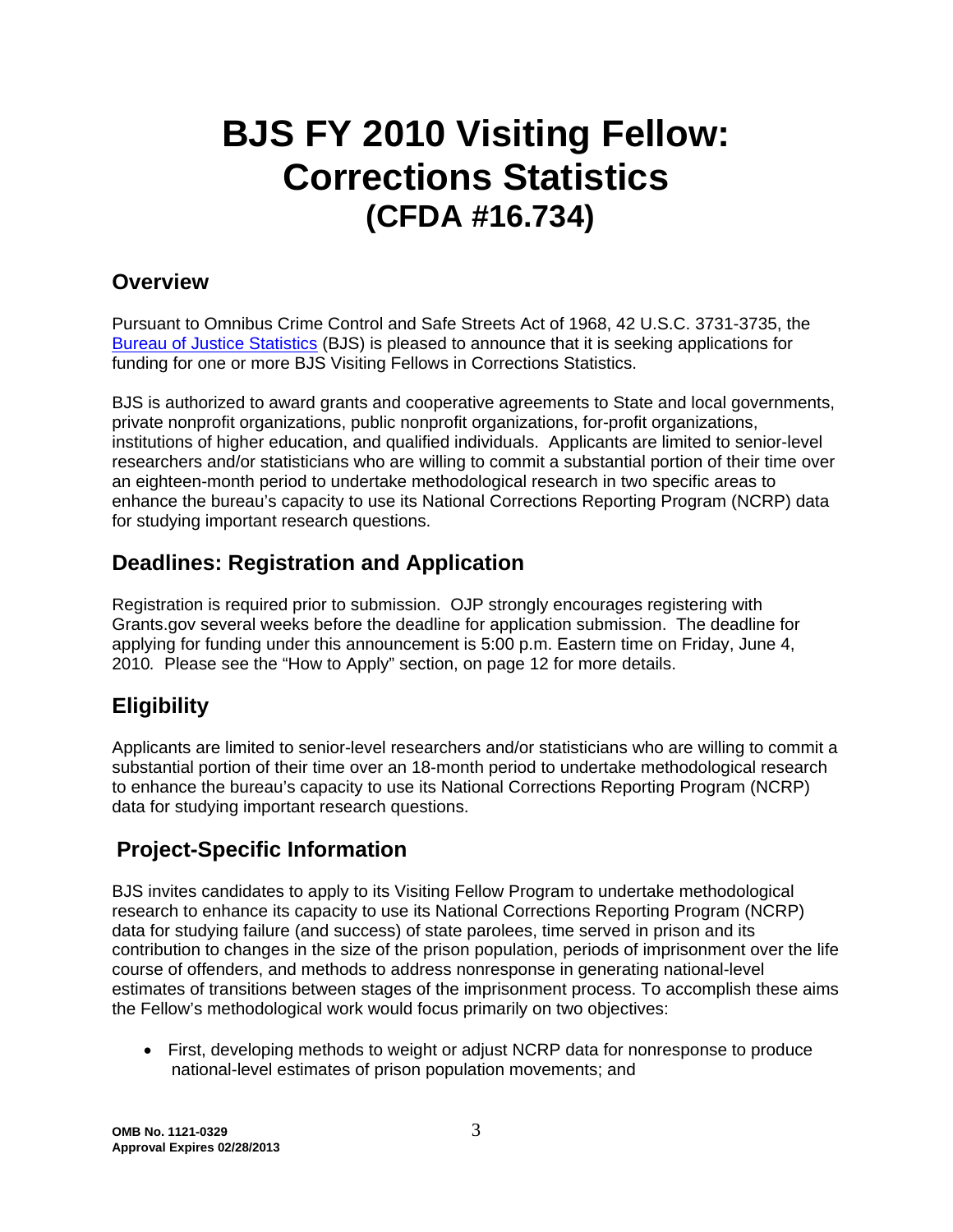# **BJS FY 2010 Visiting Fellow: Corrections Statistics (CFDA #16.734)**

# **Overview**

Pursuant to Omnibus Crime Control and Safe Streets Act of 1968, 42 U.S.C. 3731-3735, the [Bureau of Justice Statistics](http://bjs.ojp.usdoj.gov/) (BJS) is pleased to announce that it is seeking applications for funding for one or more BJS Visiting Fellows in Corrections Statistics.

BJS is authorized to award grants and cooperative agreements to State and local governments, private nonprofit organizations, public nonprofit organizations, for-profit organizations, institutions of higher education, and qualified individuals. Applicants are limited to senior-level researchers and/or statisticians who are willing to commit a substantial portion of their time over an eighteen-month period to undertake methodological research in two specific areas to enhance the bureau's capacity to use its National Corrections Reporting Program (NCRP) data for studying important research questions.

# **Deadlines: Registration and Application**

Registration is required prior to submission. OJP strongly encourages registering with Grants.gov several weeks before the deadline for application submission. The deadline for applying for funding under this announcement is 5:00 p.m. Eastern time on Friday, June 4, 2010*.* Please see the "How to Apply" section, on page 12 for more details.

# **Eligibility**

Applicants are limited to senior-level researchers and/or statisticians who are willing to commit a substantial portion of their time over an 18-month period to undertake methodological research to enhance the bureau's capacity to use its National Corrections Reporting Program (NCRP) data for studying important research questions.

# **Project-Specific Information**

BJS invites candidates to apply to its Visiting Fellow Program to undertake methodological research to enhance its capacity to use its National Corrections Reporting Program (NCRP) data for studying failure (and success) of state parolees, time served in prison and its contribution to changes in the size of the prison population, periods of imprisonment over the life course of offenders, and methods to address nonresponse in generating national-level estimates of transitions between stages of the imprisonment process. To accomplish these aims the Fellow's methodological work would focus primarily on two objectives:

• First, developing methods to weight or adjust NCRP data for nonresponse to produce national-level estimates of prison population movements; and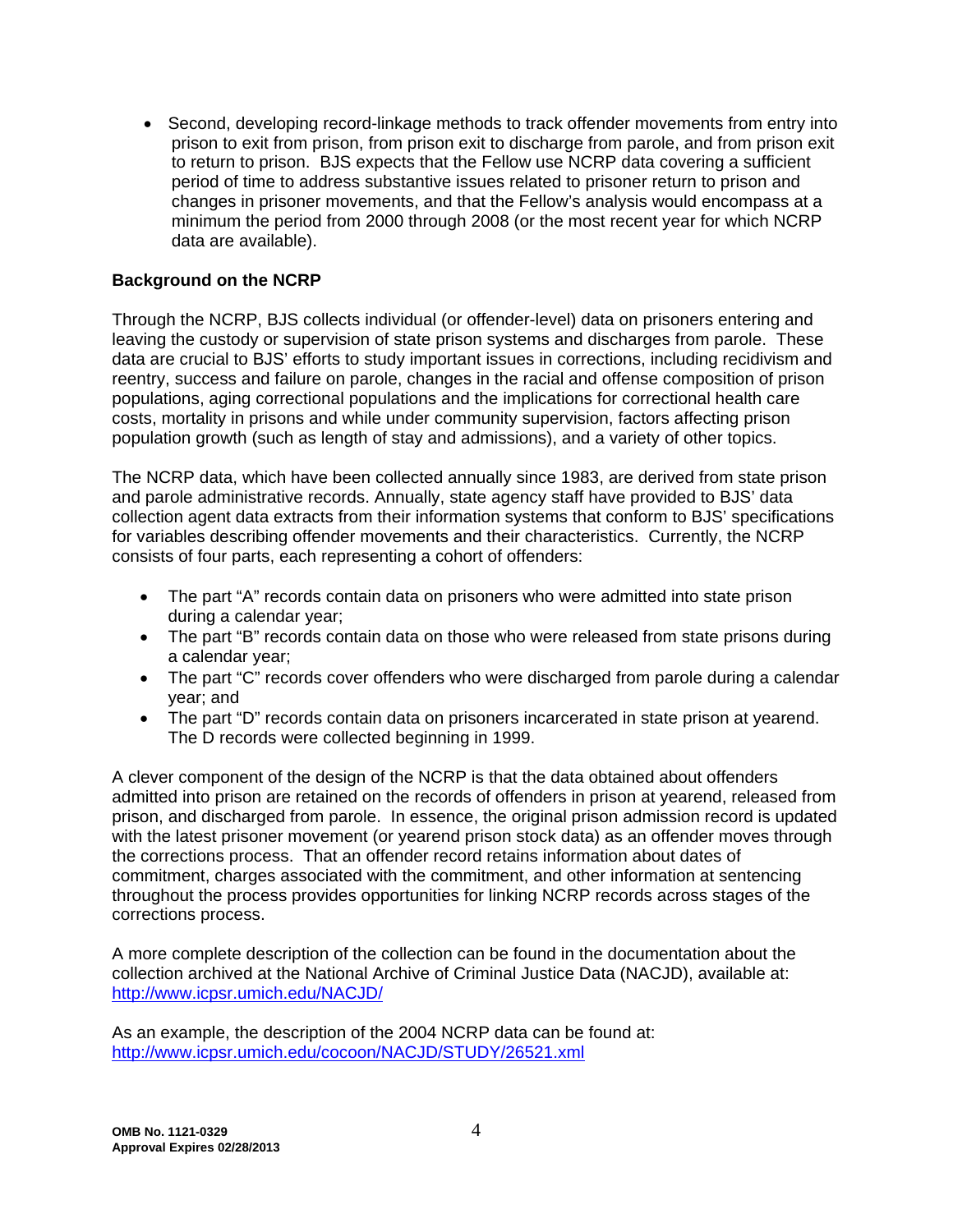• Second, developing record-linkage methods to track offender movements from entry into prison to exit from prison, from prison exit to discharge from parole, and from prison exit to return to prison. BJS expects that the Fellow use NCRP data covering a sufficient period of time to address substantive issues related to prisoner return to prison and changes in prisoner movements, and that the Fellow's analysis would encompass at a minimum the period from 2000 through 2008 (or the most recent year for which NCRP data are available).

## **Background on the NCRP**

Through the NCRP, BJS collects individual (or offender-level) data on prisoners entering and leaving the custody or supervision of state prison systems and discharges from parole. These data are crucial to BJS' efforts to study important issues in corrections, including recidivism and reentry, success and failure on parole, changes in the racial and offense composition of prison populations, aging correctional populations and the implications for correctional health care costs, mortality in prisons and while under community supervision, factors affecting prison population growth (such as length of stay and admissions), and a variety of other topics.

The NCRP data, which have been collected annually since 1983, are derived from state prison and parole administrative records. Annually, state agency staff have provided to BJS' data collection agent data extracts from their information systems that conform to BJS' specifications for variables describing offender movements and their characteristics. Currently, the NCRP consists of four parts, each representing a cohort of offenders:

- The part "A" records contain data on prisoners who were admitted into state prison during a calendar year;
- The part "B" records contain data on those who were released from state prisons during a calendar year;
- The part "C" records cover offenders who were discharged from parole during a calendar year; and
- The part "D" records contain data on prisoners incarcerated in state prison at yearend. The D records were collected beginning in 1999.

A clever component of the design of the NCRP is that the data obtained about offenders admitted into prison are retained on the records of offenders in prison at yearend, released from prison, and discharged from parole. In essence, the original prison admission record is updated with the latest prisoner movement (or yearend prison stock data) as an offender moves through the corrections process. That an offender record retains information about dates of commitment, charges associated with the commitment, and other information at sentencing throughout the process provides opportunities for linking NCRP records across stages of the corrections process.

A more complete description of the collection can be found in the documentation about the collection archived at the National Archive of Criminal Justice Data (NACJD), available at: http://www.icpsr.umich.edu/NACJD/

As an example, the description of the 2004 NCRP data can be found at: http://www.icpsr.umich.edu/cocoon/NACJD/STUDY/26521.xml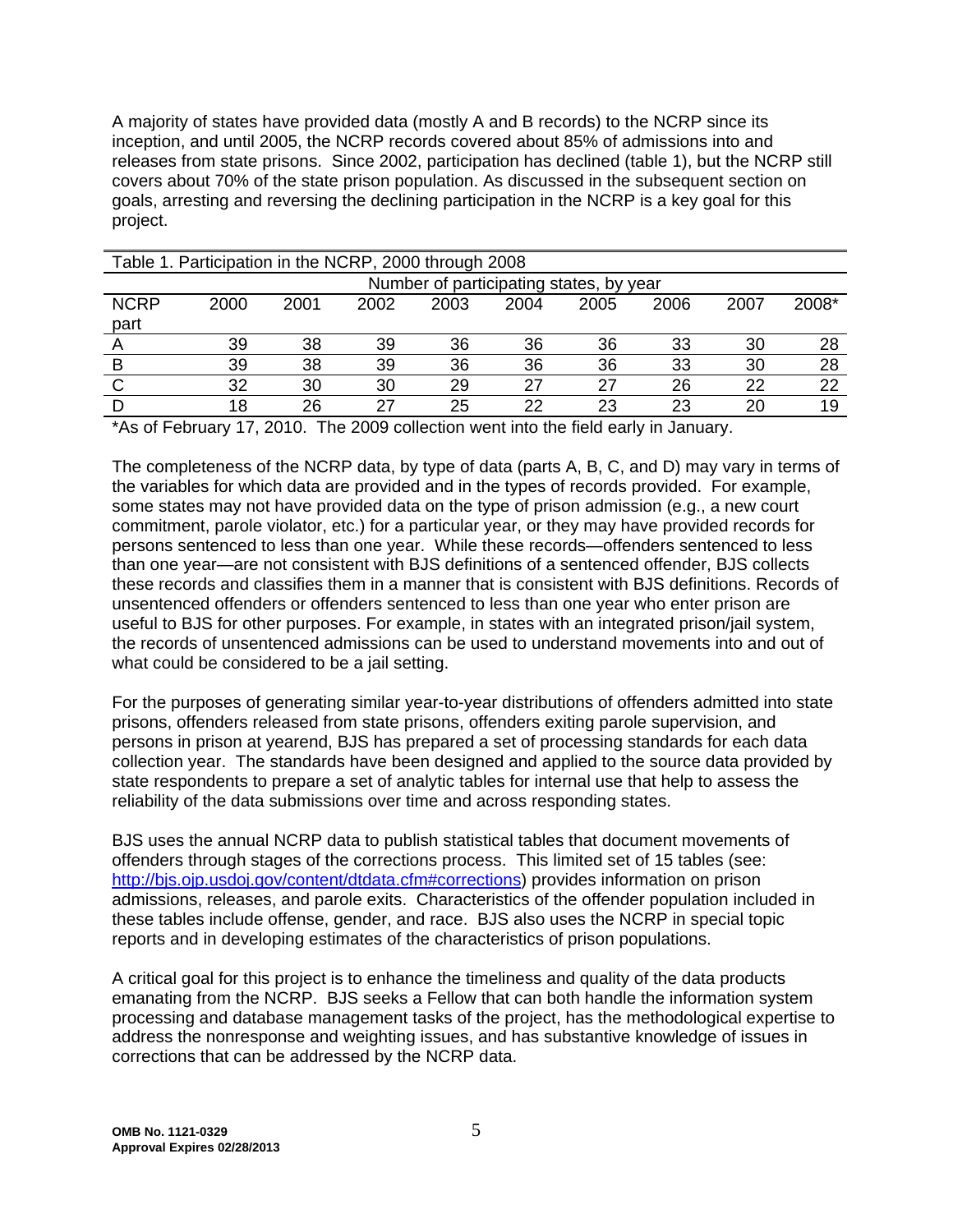A majority of states have provided data (mostly A and B records) to the NCRP since its inception, and until 2005, the NCRP records covered about 85% of admissions into and releases from state prisons. Since 2002, participation has declined (table 1), but the NCRP still covers about 70% of the state prison population. As discussed in the subsequent section on goals, arresting and reversing the declining participation in the NCRP is a key goal for this project.

| Table 1. Participation in the NCRP, 2000 through 2008 |                                         |      |      |      |      |      |      |      |       |
|-------------------------------------------------------|-----------------------------------------|------|------|------|------|------|------|------|-------|
|                                                       | Number of participating states, by year |      |      |      |      |      |      |      |       |
| <b>NCRP</b>                                           | 2000                                    | 2001 | 2002 | 2003 | 2004 | 2005 | 2006 | 2007 | 2008* |
| part                                                  |                                         |      |      |      |      |      |      |      |       |
|                                                       | 39                                      | 38   | 39   | 36   | 36   | 36   | 33   | 30   | 28    |
| B                                                     | 39                                      | 38   | 39   | 36   | 36   | 36   | 33   | 30   | 28    |
|                                                       | 32                                      | 30   | 30   | 29   | 27   | 27   | 26   | 22   | 22    |
|                                                       | 18                                      | 26   | 27   | 25   | 22   | 23   | 23   | 20   | 19    |

\*As of February 17, 2010. The 2009 collection went into the field early in January.

The completeness of the NCRP data, by type of data (parts A, B, C, and D) may vary in terms of the variables for which data are provided and in the types of records provided. For example, some states may not have provided data on the type of prison admission (e.g., a new court commitment, parole violator, etc.) for a particular year, or they may have provided records for persons sentenced to less than one year. While these records—offenders sentenced to less than one year—are not consistent with BJS definitions of a sentenced offender, BJS collects these records and classifies them in a manner that is consistent with BJS definitions. Records of unsentenced offenders or offenders sentenced to less than one year who enter prison are useful to BJS for other purposes. For example, in states with an integrated prison/jail system, the records of unsentenced admissions can be used to understand movements into and out of what could be considered to be a jail setting.

For the purposes of generating similar year-to-year distributions of offenders admitted into state prisons, offenders released from state prisons, offenders exiting parole supervision, and persons in prison at yearend, BJS has prepared a set of processing standards for each data collection year. The standards have been designed and applied to the source data provided by state respondents to prepare a set of analytic tables for internal use that help to assess the reliability of the data submissions over time and across responding states.

BJS uses the annual NCRP data to publish statistical tables that document movements of offenders through stages of the corrections process. This limited set of 15 tables (see: http://bjs.ojp.usdoj.gov/content/dtdata.cfm#corrections) provides information on prison admissions, releases, and parole exits. Characteristics of the offender population included in these tables include offense, gender, and race. BJS also uses the NCRP in special topic reports and in developing estimates of the characteristics of prison populations.

A critical goal for this project is to enhance the timeliness and quality of the data products emanating from the NCRP. BJS seeks a Fellow that can both handle the information system processing and database management tasks of the project, has the methodological expertise to address the nonresponse and weighting issues, and has substantive knowledge of issues in corrections that can be addressed by the NCRP data.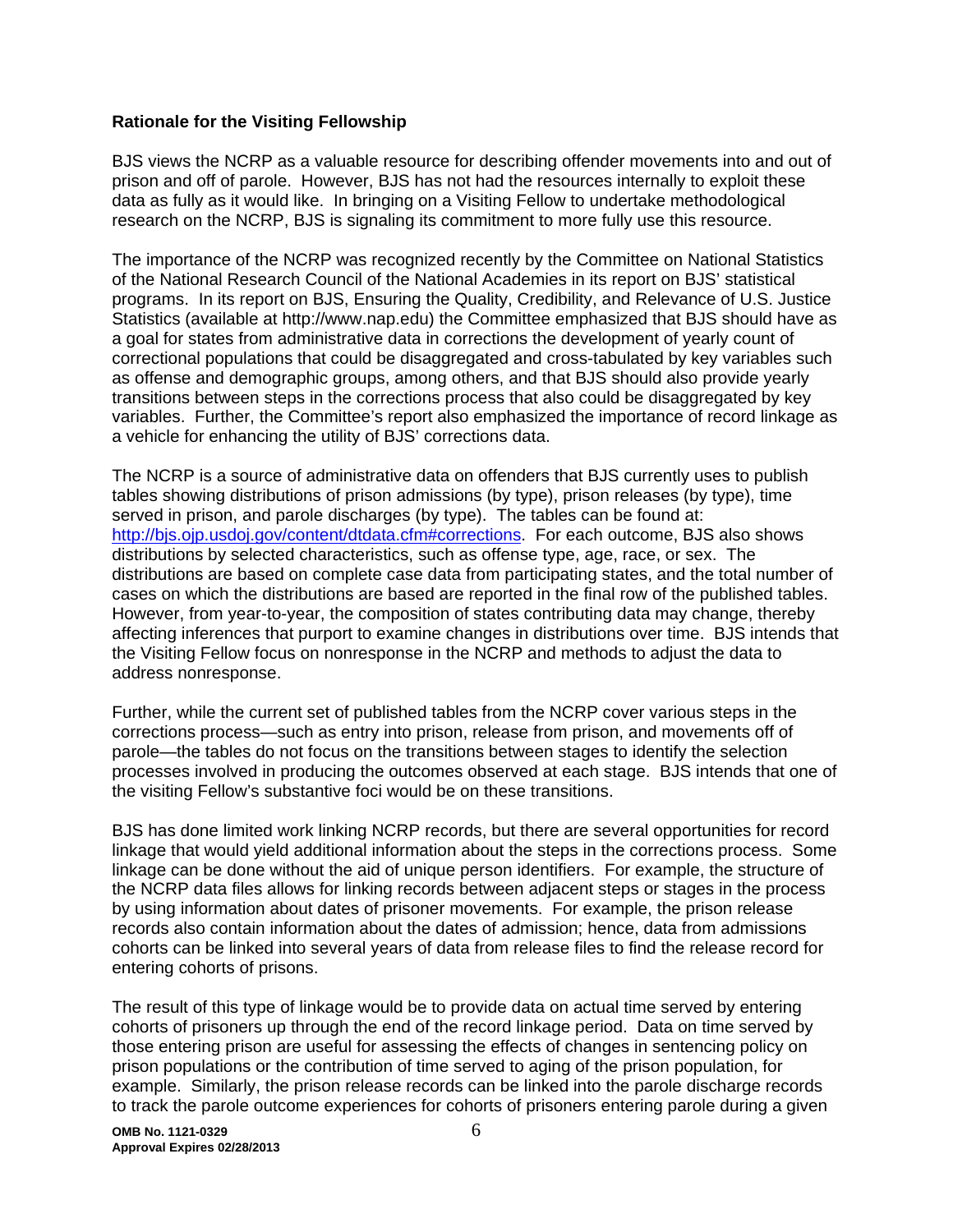#### **Rationale for the Visiting Fellowship**

BJS views the NCRP as a valuable resource for describing offender movements into and out of prison and off of parole. However, BJS has not had the resources internally to exploit these data as fully as it would like. In bringing on a Visiting Fellow to undertake methodological research on the NCRP, BJS is signaling its commitment to more fully use this resource.

The importance of the NCRP was recognized recently by the Committee on National Statistics of the National Research Council of the National Academies in its report on BJS' statistical programs. In its report on BJS, Ensuring the Quality, Credibility, and Relevance of U.S. Justice Statistics (available at http://www.nap.edu) the Committee emphasized that BJS should have as a goal for states from administrative data in corrections the development of yearly count of correctional populations that could be disaggregated and cross-tabulated by key variables such as offense and demographic groups, among others, and that BJS should also provide yearly transitions between steps in the corrections process that also could be disaggregated by key variables. Further, the Committee's report also emphasized the importance of record linkage as a vehicle for enhancing the utility of BJS' corrections data.

The NCRP is a source of administrative data on offenders that BJS currently uses to publish tables showing distributions of prison admissions (by type), prison releases (by type), time served in prison, and parole discharges (by type). The tables can be found at: http://bjs.ojp.usdoj.gov/content/dtdata.cfm#corrections. For each outcome, BJS also shows distributions by selected characteristics, such as offense type, age, race, or sex. The distributions are based on complete case data from participating states, and the total number of cases on which the distributions are based are reported in the final row of the published tables. However, from year-to-year, the composition of states contributing data may change, thereby affecting inferences that purport to examine changes in distributions over time. BJS intends that the Visiting Fellow focus on nonresponse in the NCRP and methods to adjust the data to address nonresponse.

Further, while the current set of published tables from the NCRP cover various steps in the corrections process—such as entry into prison, release from prison, and movements off of parole—the tables do not focus on the transitions between stages to identify the selection processes involved in producing the outcomes observed at each stage. BJS intends that one of the visiting Fellow's substantive foci would be on these transitions.

BJS has done limited work linking NCRP records, but there are several opportunities for record linkage that would yield additional information about the steps in the corrections process. Some linkage can be done without the aid of unique person identifiers. For example, the structure of the NCRP data files allows for linking records between adjacent steps or stages in the process by using information about dates of prisoner movements. For example, the prison release records also contain information about the dates of admission; hence, data from admissions cohorts can be linked into several years of data from release files to find the release record for entering cohorts of prisons.

The result of this type of linkage would be to provide data on actual time served by entering cohorts of prisoners up through the end of the record linkage period. Data on time served by those entering prison are useful for assessing the effects of changes in sentencing policy on prison populations or the contribution of time served to aging of the prison population, for example. Similarly, the prison release records can be linked into the parole discharge records to track the parole outcome experiences for cohorts of prisoners entering parole during a given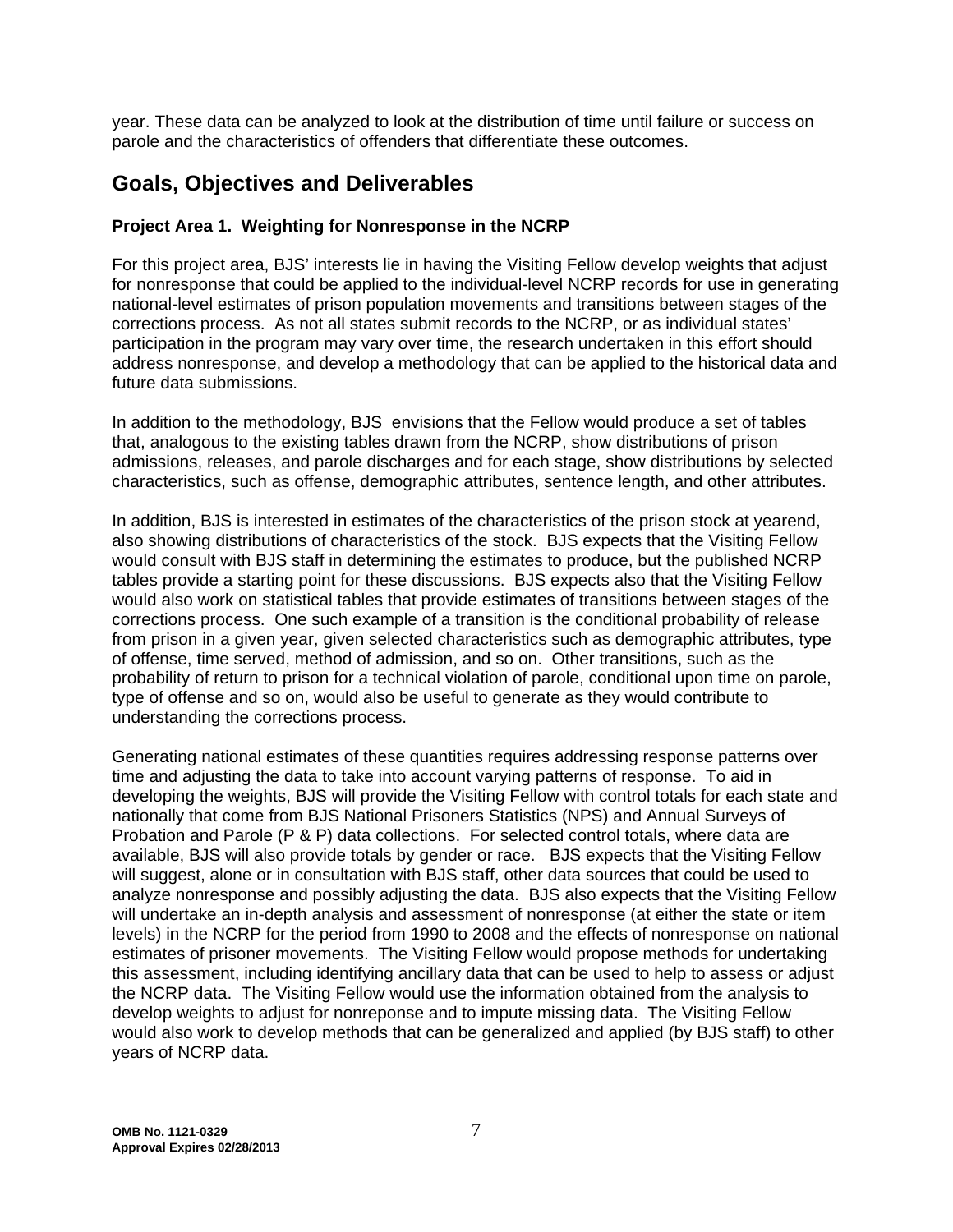year. These data can be analyzed to look at the distribution of time until failure or success on parole and the characteristics of offenders that differentiate these outcomes.

## **Goals, Objectives and Deliverables**

## **Project Area 1. Weighting for Nonresponse in the NCRP**

For this project area, BJS' interests lie in having the Visiting Fellow develop weights that adjust for nonresponse that could be applied to the individual-level NCRP records for use in generating national-level estimates of prison population movements and transitions between stages of the corrections process. As not all states submit records to the NCRP, or as individual states' participation in the program may vary over time, the research undertaken in this effort should address nonresponse, and develop a methodology that can be applied to the historical data and future data submissions.

In addition to the methodology, BJS envisions that the Fellow would produce a set of tables that, analogous to the existing tables drawn from the NCRP, show distributions of prison admissions, releases, and parole discharges and for each stage, show distributions by selected characteristics, such as offense, demographic attributes, sentence length, and other attributes.

In addition, BJS is interested in estimates of the characteristics of the prison stock at yearend, also showing distributions of characteristics of the stock. BJS expects that the Visiting Fellow would consult with BJS staff in determining the estimates to produce, but the published NCRP tables provide a starting point for these discussions. BJS expects also that the Visiting Fellow would also work on statistical tables that provide estimates of transitions between stages of the corrections process. One such example of a transition is the conditional probability of release from prison in a given year, given selected characteristics such as demographic attributes, type of offense, time served, method of admission, and so on. Other transitions, such as the probability of return to prison for a technical violation of parole, conditional upon time on parole, type of offense and so on, would also be useful to generate as they would contribute to understanding the corrections process.

Generating national estimates of these quantities requires addressing response patterns over time and adjusting the data to take into account varying patterns of response. To aid in developing the weights, BJS will provide the Visiting Fellow with control totals for each state and nationally that come from BJS National Prisoners Statistics (NPS) and Annual Surveys of Probation and Parole (P & P) data collections. For selected control totals, where data are available, BJS will also provide totals by gender or race. BJS expects that the Visiting Fellow will suggest, alone or in consultation with BJS staff, other data sources that could be used to analyze nonresponse and possibly adjusting the data. BJS also expects that the Visiting Fellow will undertake an in-depth analysis and assessment of nonresponse (at either the state or item levels) in the NCRP for the period from 1990 to 2008 and the effects of nonresponse on national estimates of prisoner movements. The Visiting Fellow would propose methods for undertaking this assessment, including identifying ancillary data that can be used to help to assess or adjust the NCRP data. The Visiting Fellow would use the information obtained from the analysis to develop weights to adjust for nonreponse and to impute missing data. The Visiting Fellow would also work to develop methods that can be generalized and applied (by BJS staff) to other years of NCRP data.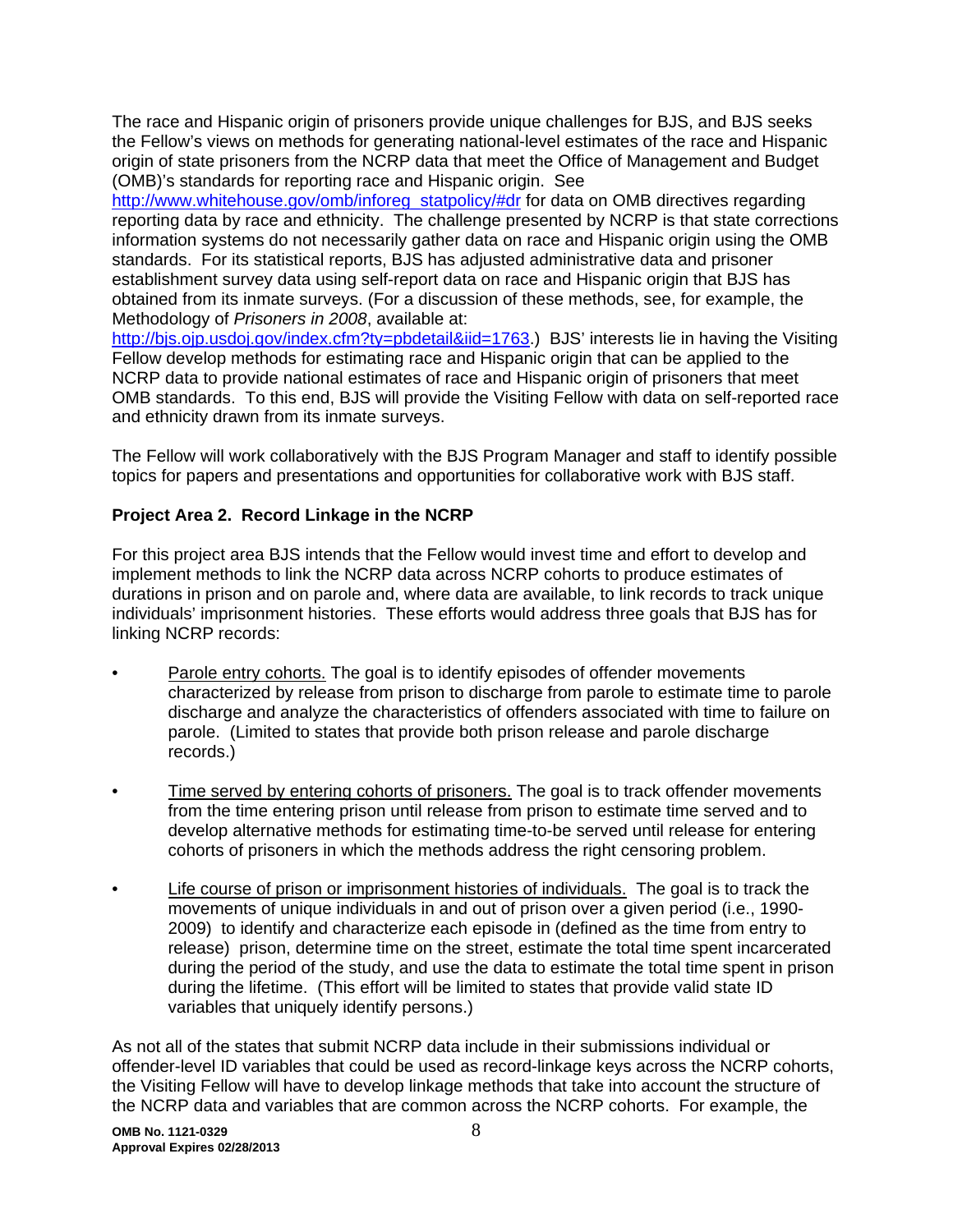The race and Hispanic origin of prisoners provide unique challenges for BJS, and BJS seeks the Fellow's views on methods for generating national-level estimates of the race and Hispanic origin of state prisoners from the NCRP data that meet the Office of Management and Budget (OMB)'s standards for reporting race and Hispanic origin. See http://www.whitehouse.gov/omb/inforeg\_statpolicy/#dr for data on OMB directives regarding reporting data by race and ethnicity. The challenge presented by NCRP is that state corrections information systems do not necessarily gather data on race and Hispanic origin using the OMB standards. For its statistical reports, BJS has adjusted administrative data and prisoner establishment survey data using self-report data on race and Hispanic origin that BJS has

obtained from its inmate surveys. (For a discussion of these methods, see, for example, the Methodology of *Prisoners in 2008*, available at:

http://bjs.ojp.usdoj.gov/index.cfm?ty=pbdetail&iid=1763.) BJS' interests lie in having the Visiting Fellow develop methods for estimating race and Hispanic origin that can be applied to the NCRP data to provide national estimates of race and Hispanic origin of prisoners that meet OMB standards. To this end, BJS will provide the Visiting Fellow with data on self-reported race and ethnicity drawn from its inmate surveys.

The Fellow will work collaboratively with the BJS Program Manager and staff to identify possible topics for papers and presentations and opportunities for collaborative work with BJS staff.

## **Project Area 2. Record Linkage in the NCRP**

For this project area BJS intends that the Fellow would invest time and effort to develop and implement methods to link the NCRP data across NCRP cohorts to produce estimates of durations in prison and on parole and, where data are available, to link records to track unique individuals' imprisonment histories. These efforts would address three goals that BJS has for linking NCRP records:

- Parole entry cohorts. The goal is to identify episodes of offender movements characterized by release from prison to discharge from parole to estimate time to parole discharge and analyze the characteristics of offenders associated with time to failure on parole. (Limited to states that provide both prison release and parole discharge records.)
- Time served by entering cohorts of prisoners. The goal is to track offender movements from the time entering prison until release from prison to estimate time served and to develop alternative methods for estimating time-to-be served until release for entering cohorts of prisoners in which the methods address the right censoring problem.
- Life course of prison or imprisonment histories of individuals. The goal is to track the movements of unique individuals in and out of prison over a given period (i.e., 1990- 2009) to identify and characterize each episode in (defined as the time from entry to release) prison, determine time on the street, estimate the total time spent incarcerated during the period of the study, and use the data to estimate the total time spent in prison during the lifetime. (This effort will be limited to states that provide valid state ID variables that uniquely identify persons.)

As not all of the states that submit NCRP data include in their submissions individual or offender-level ID variables that could be used as record-linkage keys across the NCRP cohorts, the Visiting Fellow will have to develop linkage methods that take into account the structure of the NCRP data and variables that are common across the NCRP cohorts. For example, the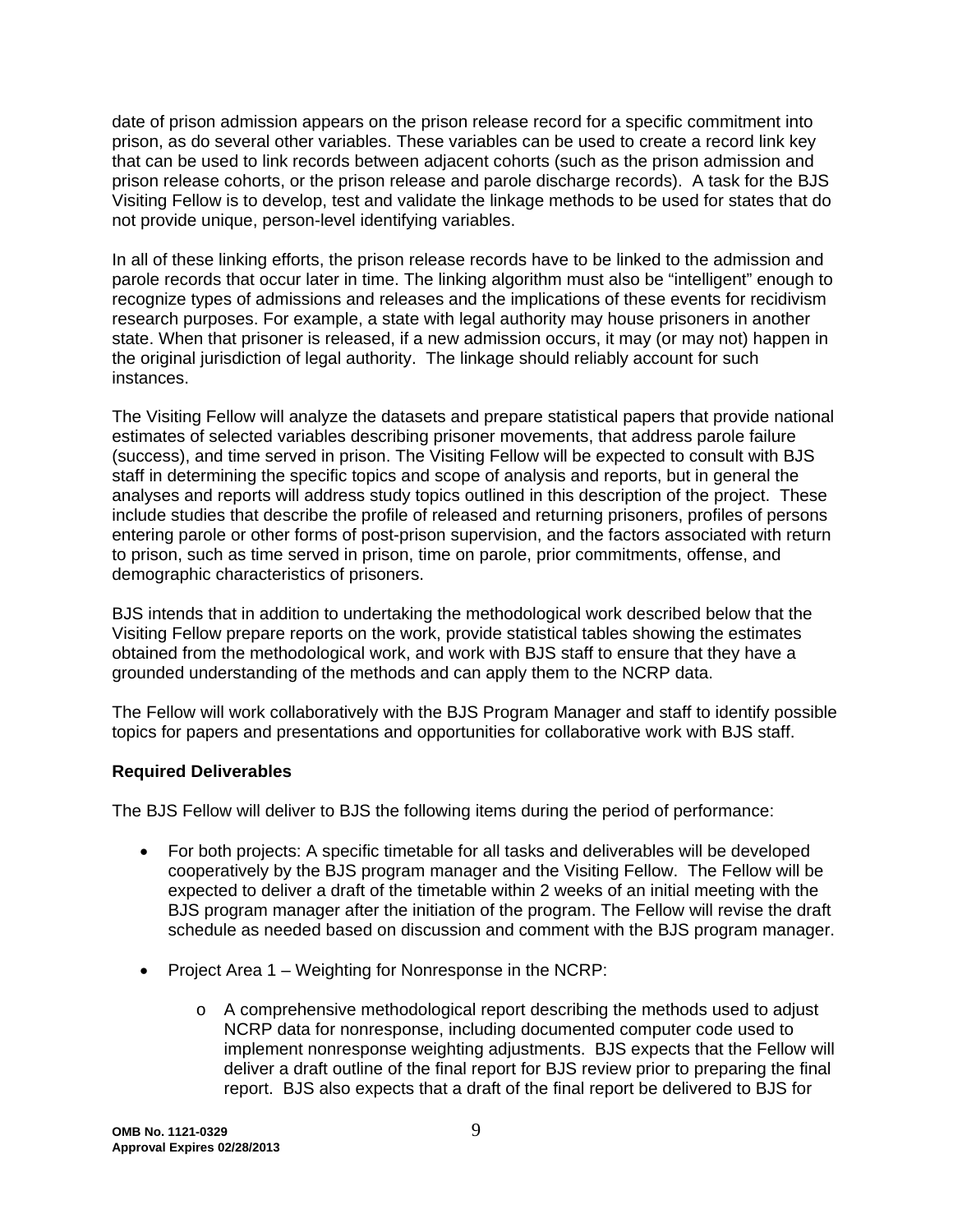date of prison admission appears on the prison release record for a specific commitment into prison, as do several other variables. These variables can be used to create a record link key that can be used to link records between adjacent cohorts (such as the prison admission and prison release cohorts, or the prison release and parole discharge records). A task for the BJS Visiting Fellow is to develop, test and validate the linkage methods to be used for states that do not provide unique, person-level identifying variables.

In all of these linking efforts, the prison release records have to be linked to the admission and parole records that occur later in time. The linking algorithm must also be "intelligent" enough to recognize types of admissions and releases and the implications of these events for recidivism research purposes. For example, a state with legal authority may house prisoners in another state. When that prisoner is released, if a new admission occurs, it may (or may not) happen in the original jurisdiction of legal authority. The linkage should reliably account for such instances.

The Visiting Fellow will analyze the datasets and prepare statistical papers that provide national estimates of selected variables describing prisoner movements, that address parole failure (success), and time served in prison. The Visiting Fellow will be expected to consult with BJS staff in determining the specific topics and scope of analysis and reports, but in general the analyses and reports will address study topics outlined in this description of the project. These include studies that describe the profile of released and returning prisoners, profiles of persons entering parole or other forms of post-prison supervision, and the factors associated with return to prison, such as time served in prison, time on parole, prior commitments, offense, and demographic characteristics of prisoners.

BJS intends that in addition to undertaking the methodological work described below that the Visiting Fellow prepare reports on the work, provide statistical tables showing the estimates obtained from the methodological work, and work with BJS staff to ensure that they have a grounded understanding of the methods and can apply them to the NCRP data.

The Fellow will work collaboratively with the BJS Program Manager and staff to identify possible topics for papers and presentations and opportunities for collaborative work with BJS staff.

## **Required Deliverables**

The BJS Fellow will deliver to BJS the following items during the period of performance:

- For both projects: A specific timetable for all tasks and deliverables will be developed cooperatively by the BJS program manager and the Visiting Fellow. The Fellow will be expected to deliver a draft of the timetable within 2 weeks of an initial meeting with the BJS program manager after the initiation of the program. The Fellow will revise the draft schedule as needed based on discussion and comment with the BJS program manager.
- Project Area 1 Weighting for Nonresponse in the NCRP:
	- $\circ$  A comprehensive methodological report describing the methods used to adjust NCRP data for nonresponse, including documented computer code used to implement nonresponse weighting adjustments. BJS expects that the Fellow will deliver a draft outline of the final report for BJS review prior to preparing the final report. BJS also expects that a draft of the final report be delivered to BJS for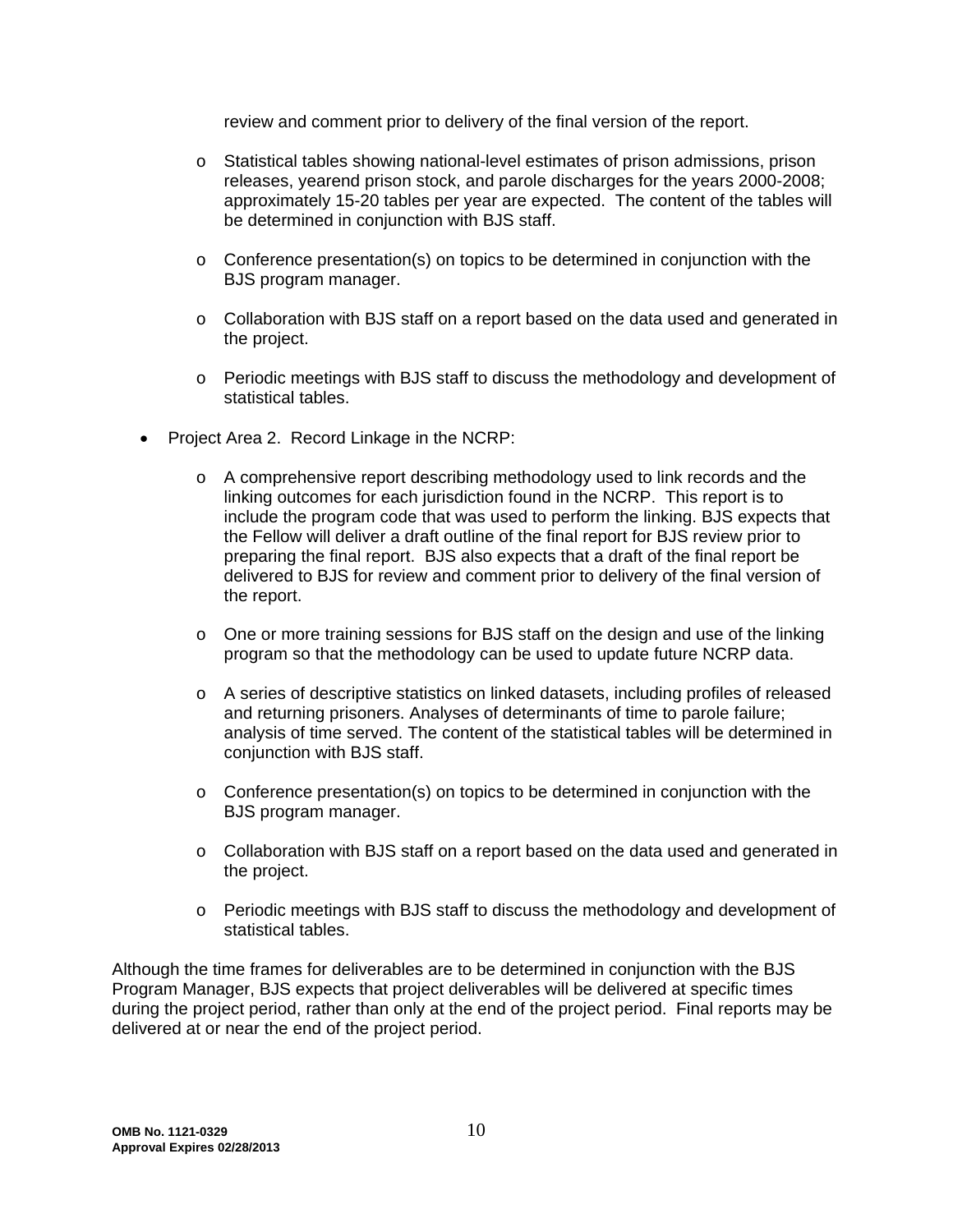review and comment prior to delivery of the final version of the report.

- o Statistical tables showing national-level estimates of prison admissions, prison releases, yearend prison stock, and parole discharges for the years 2000-2008; approximately 15-20 tables per year are expected. The content of the tables will be determined in conjunction with BJS staff.
- $\circ$  Conference presentation(s) on topics to be determined in conjunction with the BJS program manager.
- $\circ$  Collaboration with BJS staff on a report based on the data used and generated in the project.
- o Periodic meetings with BJS staff to discuss the methodology and development of statistical tables.
- Project Area 2. Record Linkage in the NCRP:
	- o A comprehensive report describing methodology used to link records and the linking outcomes for each jurisdiction found in the NCRP. This report is to include the program code that was used to perform the linking. BJS expects that the Fellow will deliver a draft outline of the final report for BJS review prior to preparing the final report. BJS also expects that a draft of the final report be delivered to BJS for review and comment prior to delivery of the final version of the report.
	- $\circ$  One or more training sessions for BJS staff on the design and use of the linking program so that the methodology can be used to update future NCRP data.
	- $\circ$  A series of descriptive statistics on linked datasets, including profiles of released and returning prisoners. Analyses of determinants of time to parole failure; analysis of time served. The content of the statistical tables will be determined in conjunction with BJS staff.
	- $\circ$  Conference presentation(s) on topics to be determined in conjunction with the BJS program manager.
	- o Collaboration with BJS staff on a report based on the data used and generated in the project.
	- o Periodic meetings with BJS staff to discuss the methodology and development of statistical tables.

Although the time frames for deliverables are to be determined in conjunction with the BJS Program Manager, BJS expects that project deliverables will be delivered at specific times during the project period, rather than only at the end of the project period. Final reports may be delivered at or near the end of the project period.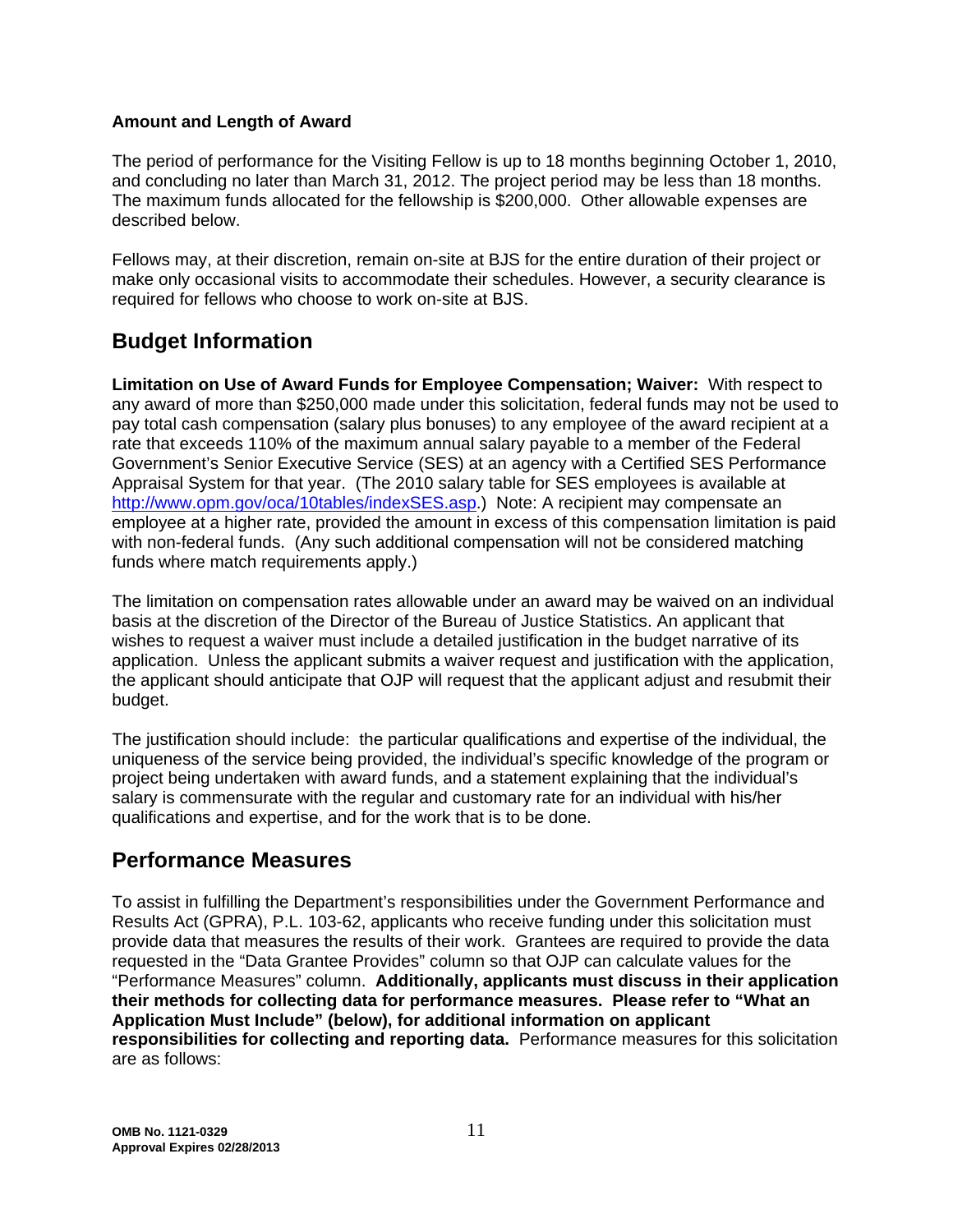## **Amount and Length of Award**

The period of performance for the Visiting Fellow is up to 18 months beginning October 1, 2010, and concluding no later than March 31, 2012. The project period may be less than 18 months. The maximum funds allocated for the fellowship is \$200,000. Other allowable expenses are described below.

Fellows may, at their discretion, remain on-site at BJS for the entire duration of their project or make only occasional visits to accommodate their schedules. However, a security clearance is required for fellows who choose to work on-site at BJS.

# **Budget Information**

**Limitation on Use of Award Funds for Employee Compensation; Waiver:** With respect to any award of more than \$250,000 made under this solicitation, federal funds may not be used to pay total cash compensation (salary plus bonuses) to any employee of the award recipient at a rate that exceeds 110% of the maximum annual salary payable to a member of the Federal Government's Senior Executive Service (SES) at an agency with a Certified SES Performance Appraisal System for that year. (The 2010 salary table for SES employees is available at http://www.opm.gov/oca/10tables/indexSES.asp.) Note: A recipient may compensate an employee at a higher rate, provided the amount in excess of this compensation limitation is paid with non-federal funds. (Any such additional compensation will not be considered matching funds where match requirements apply.)

The limitation on compensation rates allowable under an award may be waived on an individual basis at the discretion of the Director of the Bureau of Justice Statistics. An applicant that wishes to request a waiver must include a detailed justification in the budget narrative of its application. Unless the applicant submits a waiver request and justification with the application, the applicant should anticipate that OJP will request that the applicant adjust and resubmit their budget.

The justification should include: the particular qualifications and expertise of the individual, the uniqueness of the service being provided, the individual's specific knowledge of the program or project being undertaken with award funds, and a statement explaining that the individual's salary is commensurate with the regular and customary rate for an individual with his/her qualifications and expertise, and for the work that is to be done.

## **Performance Measures**

To assist in fulfilling the Department's responsibilities under the Government Performance and Results Act (GPRA), P.L. 103-62, applicants who receive funding under this solicitation must provide data that measures the results of their work. Grantees are required to provide the data requested in the "Data Grantee Provides" column so that OJP can calculate values for the "Performance Measures" column. **Additionally, applicants must discuss in their application their methods for collecting data for performance measures. Please refer to "What an Application Must Include" (below), for additional information on applicant responsibilities for collecting and reporting data.** Performance measures for this solicitation are as follows: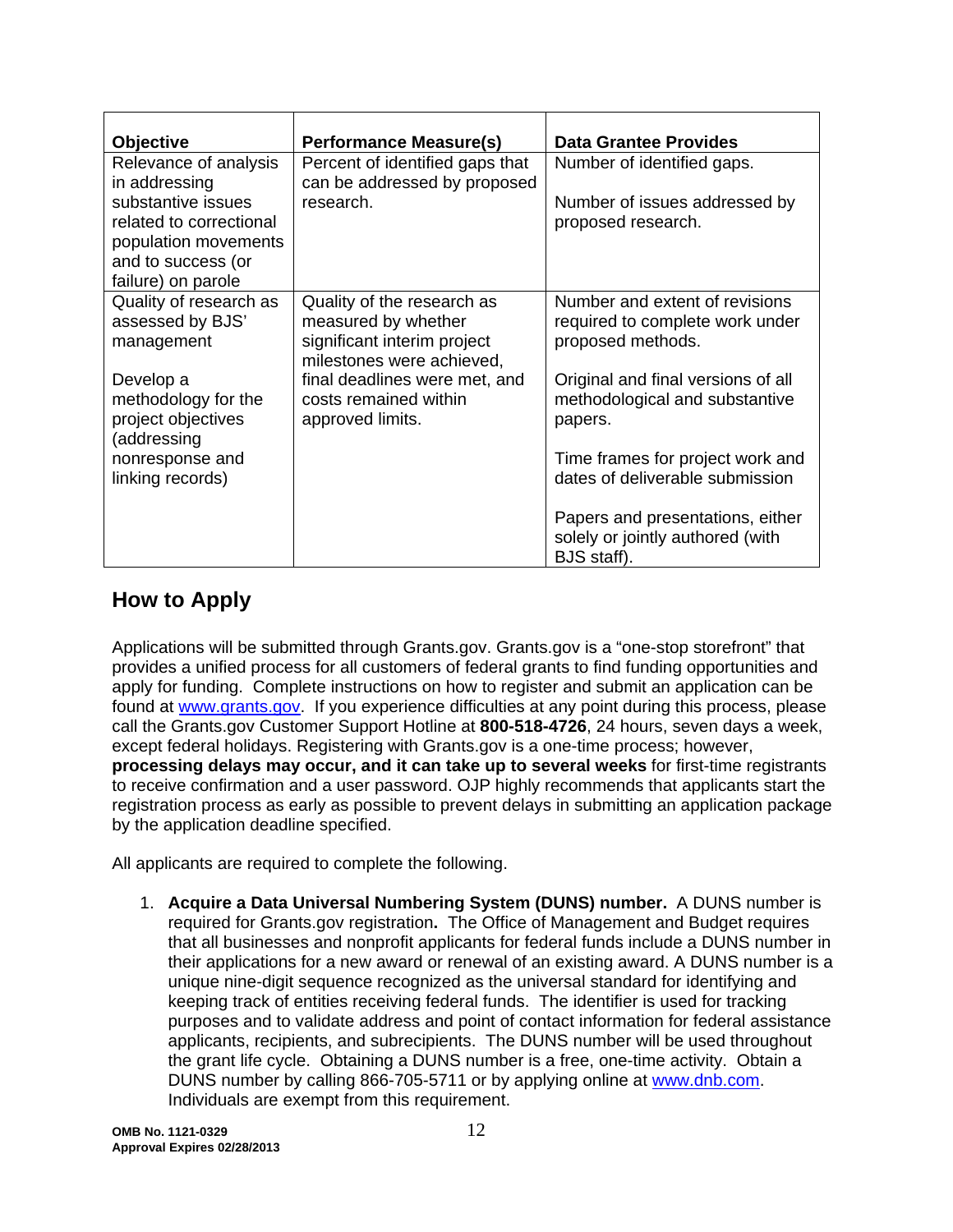| <b>Objective</b>                         | <b>Performance Measure(s)</b>   | <b>Data Grantee Provides</b>                    |
|------------------------------------------|---------------------------------|-------------------------------------------------|
| Relevance of analysis                    | Percent of identified gaps that | Number of identified gaps.                      |
| in addressing                            | can be addressed by proposed    |                                                 |
| substantive issues                       | research.                       | Number of issues addressed by                   |
| related to correctional                  |                                 | proposed research.                              |
| population movements                     |                                 |                                                 |
| and to success (or<br>failure) on parole |                                 |                                                 |
| Quality of research as                   | Quality of the research as      | Number and extent of revisions                  |
| assessed by BJS'                         | measured by whether             | required to complete work under                 |
| management                               | significant interim project     | proposed methods.                               |
|                                          | milestones were achieved,       |                                                 |
| Develop a                                | final deadlines were met, and   | Original and final versions of all              |
| methodology for the                      | costs remained within           | methodological and substantive                  |
| project objectives                       | approved limits.                | papers.                                         |
| (addressing                              |                                 |                                                 |
| nonresponse and                          |                                 | Time frames for project work and                |
| linking records)                         |                                 | dates of deliverable submission                 |
|                                          |                                 |                                                 |
|                                          |                                 | Papers and presentations, either                |
|                                          |                                 | solely or jointly authored (with<br>BJS staff). |
|                                          |                                 |                                                 |

# **How to Apply**

Applications will be submitted through Grants.gov. Grants.gov is a "one-stop storefront" that provides a unified process for all customers of federal grants to find funding opportunities and apply for funding. Complete instructions on how to register and submit an application can be found at www.grants.gov. If you experience difficulties at any point during this process, please call the Grants.gov Customer Support Hotline at **800-518-4726**, 24 hours, seven days a week, except federal holidays. Registering with Grants.gov is a one-time process; however, **processing delays may occur, and it can take up to several weeks** for first-time registrants to receive confirmation and a user password. OJP highly recommends that applicants start the registration process as early as possible to prevent delays in submitting an application package by the application deadline specified.

All applicants are required to complete the following.

1. **Acquire a Data Universal Numbering System (DUNS) number.** A DUNS number is required for Grants.gov registration**.** The Office of Management and Budget requires that all businesses and nonprofit applicants for federal funds include a DUNS number in their applications for a new award or renewal of an existing award. A DUNS number is a unique nine-digit sequence recognized as the universal standard for identifying and keeping track of entities receiving federal funds. The identifier is used for tracking purposes and to validate address and point of contact information for federal assistance applicants, recipients, and subrecipients. The DUNS number will be used throughout the grant life cycle. Obtaining a DUNS number is a free, one-time activity. Obtain a DUNS number by calling 866-705-5711 or by applying online at www.dnb.com. Individuals are exempt from this requirement.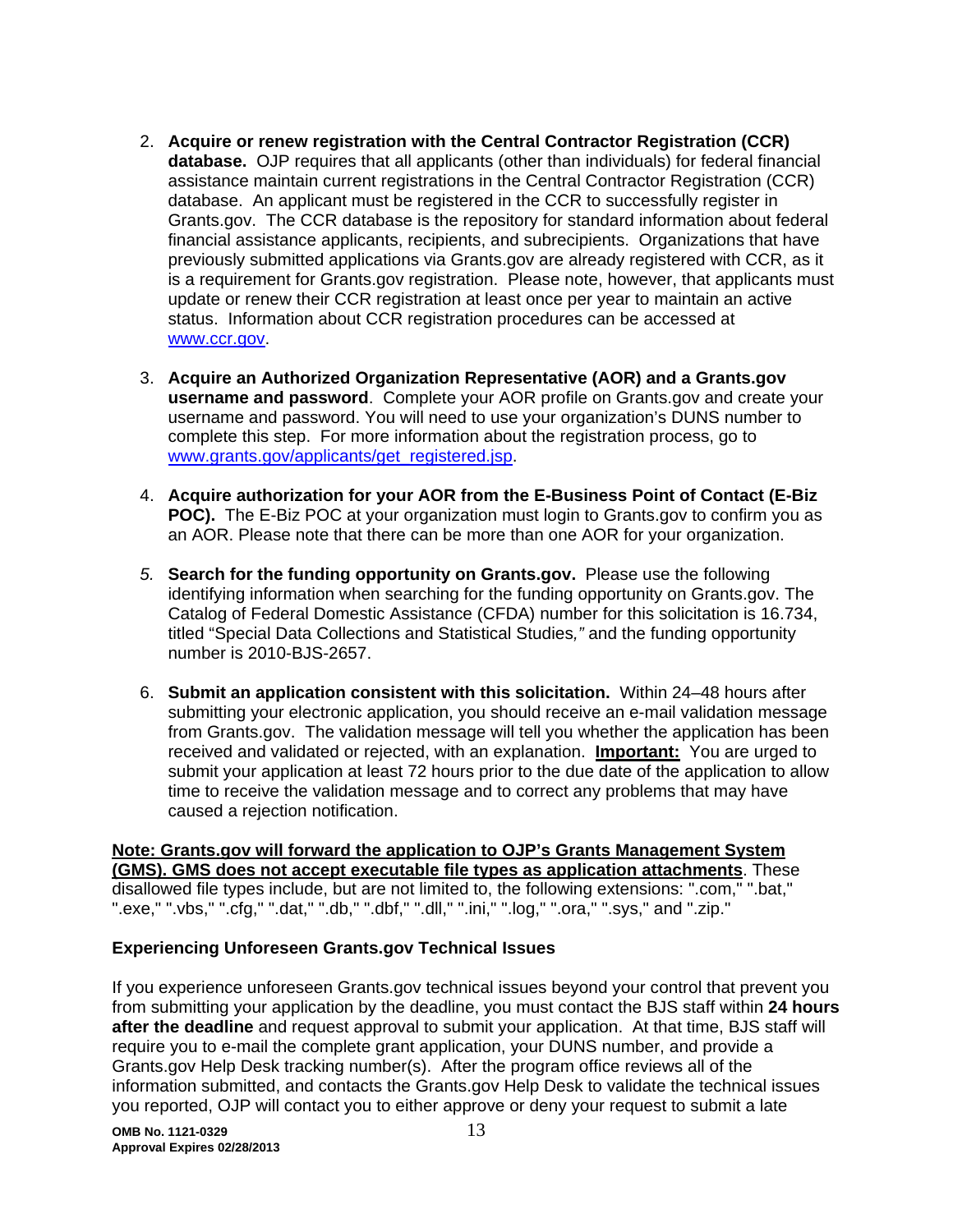- 2. **Acquire or renew registration with the Central Contractor Registration (CCR) database.** OJP requires that all applicants (other than individuals) for federal financial assistance maintain current registrations in the Central Contractor Registration (CCR) database. An applicant must be registered in the CCR to successfully register in Grants.gov. The CCR database is the repository for standard information about federal financial assistance applicants, recipients, and subrecipients. Organizations that have previously submitted applications via Grants.gov are already registered with CCR, as it is a requirement for Grants.gov registration. Please note, however, that applicants must update or renew their CCR registration at least once per year to maintain an active status. Information about CCR registration procedures can be accessed at www.ccr.gov.
- 3. **Acquire an Authorized Organization Representative (AOR) and a Grants.gov username and password**. Complete your AOR profile on Grants.gov and create your username and password. You will need to use your organization's DUNS number to complete this step. For more information about the registration process, go to www.grants.gov/applicants/get\_registered.jsp.
- 4. **Acquire authorization for your AOR from the E-Business Point of Contact (E-Biz POC).** The E-Biz POC at your organization must login to Grants.gov to confirm you as an AOR. Please note that there can be more than one AOR for your organization.
- *5.* **Search for the funding opportunity on Grants.gov.** Please use the following identifying information when searching for the funding opportunity on Grants.gov. The Catalog of Federal Domestic Assistance (CFDA) number for this solicitation is 16.734, titled "Special Data Collections and Statistical Studies*,"* and the funding opportunity number is 2010-BJS-2657.
- 6. **Submit an application consistent with this solicitation.** Within 24–48 hours after submitting your electronic application, you should receive an e-mail validation message from Grants.gov. The validation message will tell you whether the application has been received and validated or rejected, with an explanation. **Important:** You are urged to submit your application at least 72 hours prior to the due date of the application to allow time to receive the validation message and to correct any problems that may have caused a rejection notification.

## **Note: Grants.gov will forward the application to OJP's Grants Management System**

**(GMS). GMS does not accept executable file types as application attachments**. These disallowed file types include, but are not limited to, the following extensions: ".com," ".bat," ".exe," ".vbs," ".cfg," ".dat," ".db," ".dbf," ".dll," ".ini," ".log," ".ora," ".sys," and ".zip."

## **Experiencing Unforeseen Grants.gov Technical Issues**

If you experience unforeseen Grants.gov technical issues beyond your control that prevent you from submitting your application by the deadline, you must contact the BJS staff within **24 hours after the deadline** and request approval to submit your application. At that time, BJS staff will require you to e-mail the complete grant application, your DUNS number, and provide a Grants.gov Help Desk tracking number(s). After the program office reviews all of the information submitted, and contacts the Grants.gov Help Desk to validate the technical issues you reported, OJP will contact you to either approve or deny your request to submit a late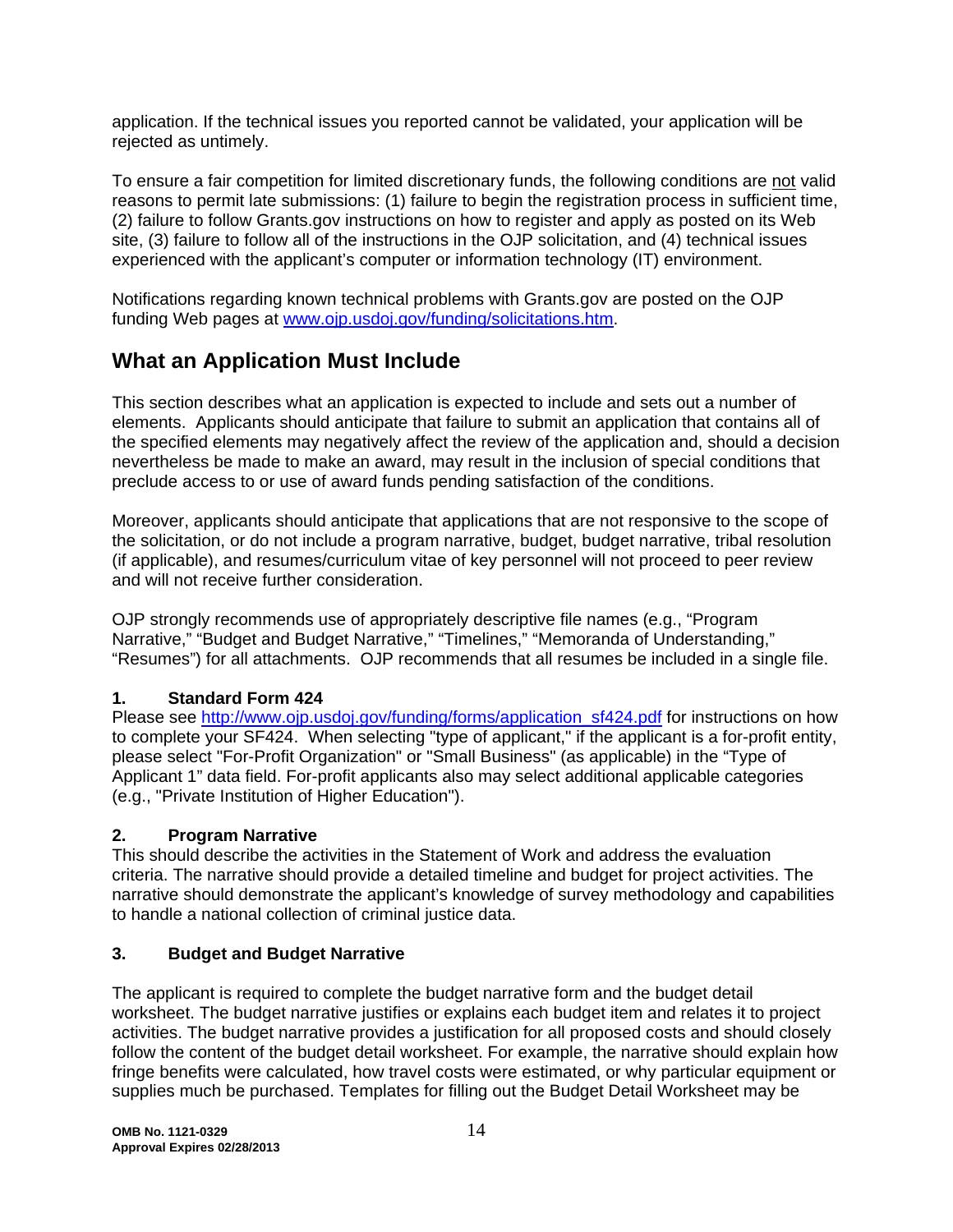application. If the technical issues you reported cannot be validated, your application will be rejected as untimely.

To ensure a fair competition for limited discretionary funds, the following conditions are not valid reasons to permit late submissions: (1) failure to begin the registration process in sufficient time, (2) failure to follow Grants.gov instructions on how to register and apply as posted on its Web site, (3) failure to follow all of the instructions in the OJP solicitation, and (4) technical issues experienced with the applicant's computer or information technology (IT) environment.

Notifications regarding known technical problems with Grants.gov are posted on the OJP funding Web pages at www.ojp.usdoj.gov/funding/solicitations.htm.

# **What an Application Must Include**

This section describes what an application is expected to include and sets out a number of elements. Applicants should anticipate that failure to submit an application that contains all of the specified elements may negatively affect the review of the application and, should a decision nevertheless be made to make an award, may result in the inclusion of special conditions that preclude access to or use of award funds pending satisfaction of the conditions.

Moreover, applicants should anticipate that applications that are not responsive to the scope of the solicitation, or do not include a program narrative, budget, budget narrative, tribal resolution (if applicable), and resumes/curriculum vitae of key personnel will not proceed to peer review and will not receive further consideration.

OJP strongly recommends use of appropriately descriptive file names (e.g., "Program Narrative," "Budget and Budget Narrative," "Timelines," "Memoranda of Understanding," "Resumes") for all attachments. OJP recommends that all resumes be included in a single file.

## **1. Standard Form 424**

Please see http://www.ojp.usdoj.gov/funding/forms/application\_sf424.pdf for instructions on how to complete your SF424. When selecting "type of applicant," if the applicant is a for-profit entity, please select "For-Profit Organization" or "Small Business" (as applicable) in the "Type of Applicant 1" data field. For-profit applicants also may select additional applicable categories (e.g., "Private Institution of Higher Education").

## **2. Program Narrative**

This should describe the activities in the Statement of Work and address the evaluation criteria. The narrative should provide a detailed timeline and budget for project activities. The narrative should demonstrate the applicant's knowledge of survey methodology and capabilities to handle a national collection of criminal justice data.

## **3. Budget and Budget Narrative**

The applicant is required to complete the budget narrative form and the budget detail worksheet. The budget narrative justifies or explains each budget item and relates it to project activities. The budget narrative provides a justification for all proposed costs and should closely follow the content of the budget detail worksheet. For example, the narrative should explain how fringe benefits were calculated, how travel costs were estimated, or why particular equipment or supplies much be purchased. Templates for filling out the Budget Detail Worksheet may be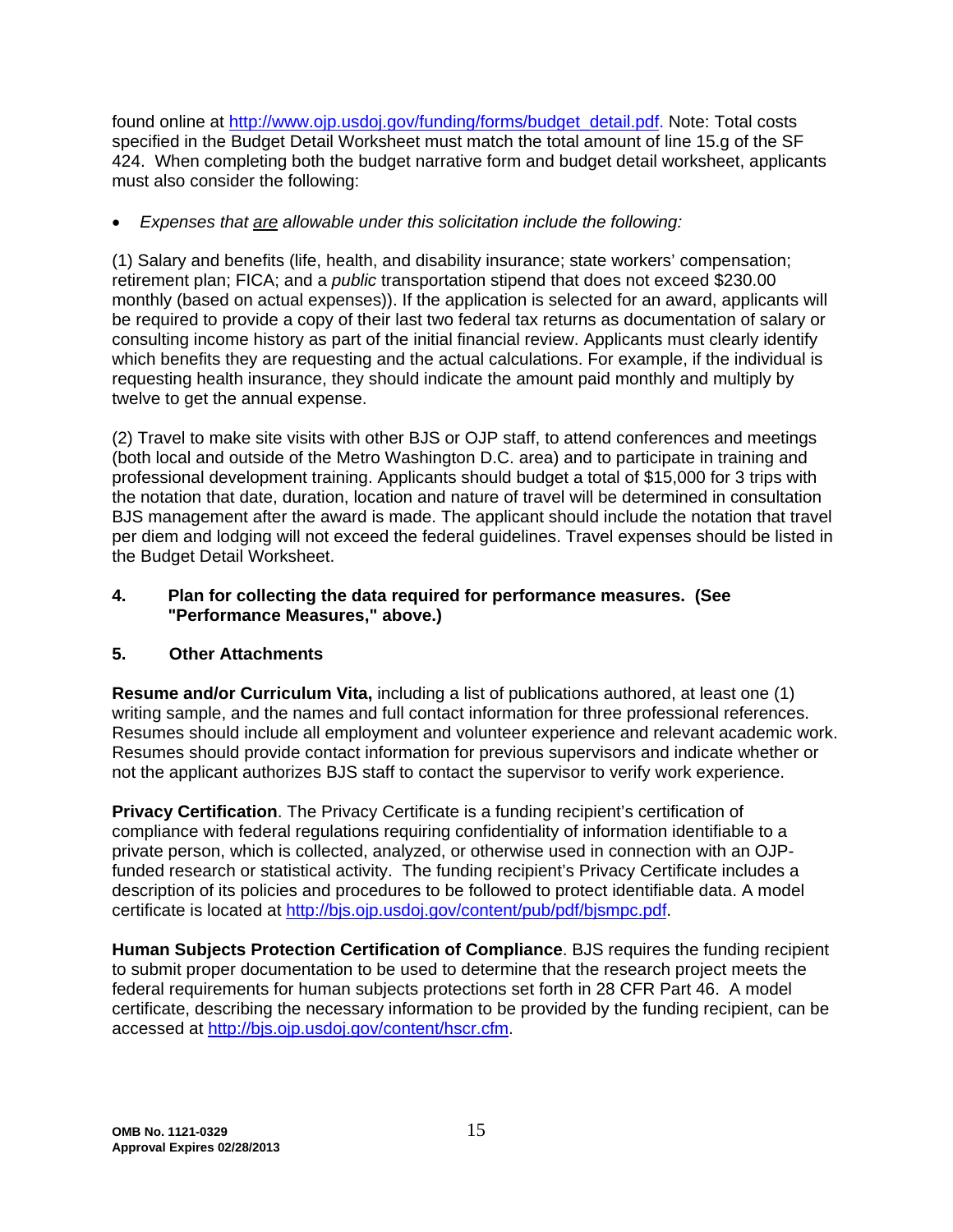found online at http://www.ojp.usdoj.gov/funding/forms/budget\_detail.pdf. Note: Total costs specified in the Budget Detail Worksheet must match the total amount of line 15.g of the SF 424. When completing both the budget narrative form and budget detail worksheet, applicants must also consider the following:

• *Expenses that are allowable under this solicitation include the following:* 

(1) Salary and benefits (life, health, and disability insurance; state workers' compensation; retirement plan; FICA; and a *public* transportation stipend that does not exceed \$230.00 monthly (based on actual expenses)). If the application is selected for an award, applicants will be required to provide a copy of their last two federal tax returns as documentation of salary or consulting income history as part of the initial financial review. Applicants must clearly identify which benefits they are requesting and the actual calculations. For example, if the individual is requesting health insurance, they should indicate the amount paid monthly and multiply by twelve to get the annual expense.

(2) Travel to make site visits with other BJS or OJP staff, to attend conferences and meetings (both local and outside of the Metro Washington D.C. area) and to participate in training and professional development training. Applicants should budget a total of \$15,000 for 3 trips with the notation that date, duration, location and nature of travel will be determined in consultation BJS management after the award is made. The applicant should include the notation that travel per diem and lodging will not exceed the federal guidelines. Travel expenses should be listed in the Budget Detail Worksheet.

## **4. Plan for collecting the data required for performance measures. (See "Performance Measures," above.)**

## **5. Other Attachments**

**Resume and/or Curriculum Vita,** including a list of publications authored, at least one (1) writing sample, and the names and full contact information for three professional references. Resumes should include all employment and volunteer experience and relevant academic work. Resumes should provide contact information for previous supervisors and indicate whether or not the applicant authorizes BJS staff to contact the supervisor to verify work experience.

**Privacy Certification**. The Privacy Certificate is a funding recipient's certification of compliance with federal regulations requiring confidentiality of information identifiable to a private person, which is collected, analyzed, or otherwise used in connection with an OJPfunded research or statistical activity. The funding recipient's Privacy Certificate includes a description of its policies and procedures to be followed to protect identifiable data. A model certificate is located at http://bjs.ojp.usdoj.gov/content/pub/pdf/bjsmpc.pdf.

**Human Subjects Protection Certification of Compliance**. BJS requires the funding recipient to submit proper documentation to be used to determine that the research project meets the federal requirements for human subjects protections set forth in 28 CFR Part 46. A model certificate, describing the necessary information to be provided by the funding recipient, can be accessed at http://bjs.ojp.usdoj.gov/content/hscr.cfm.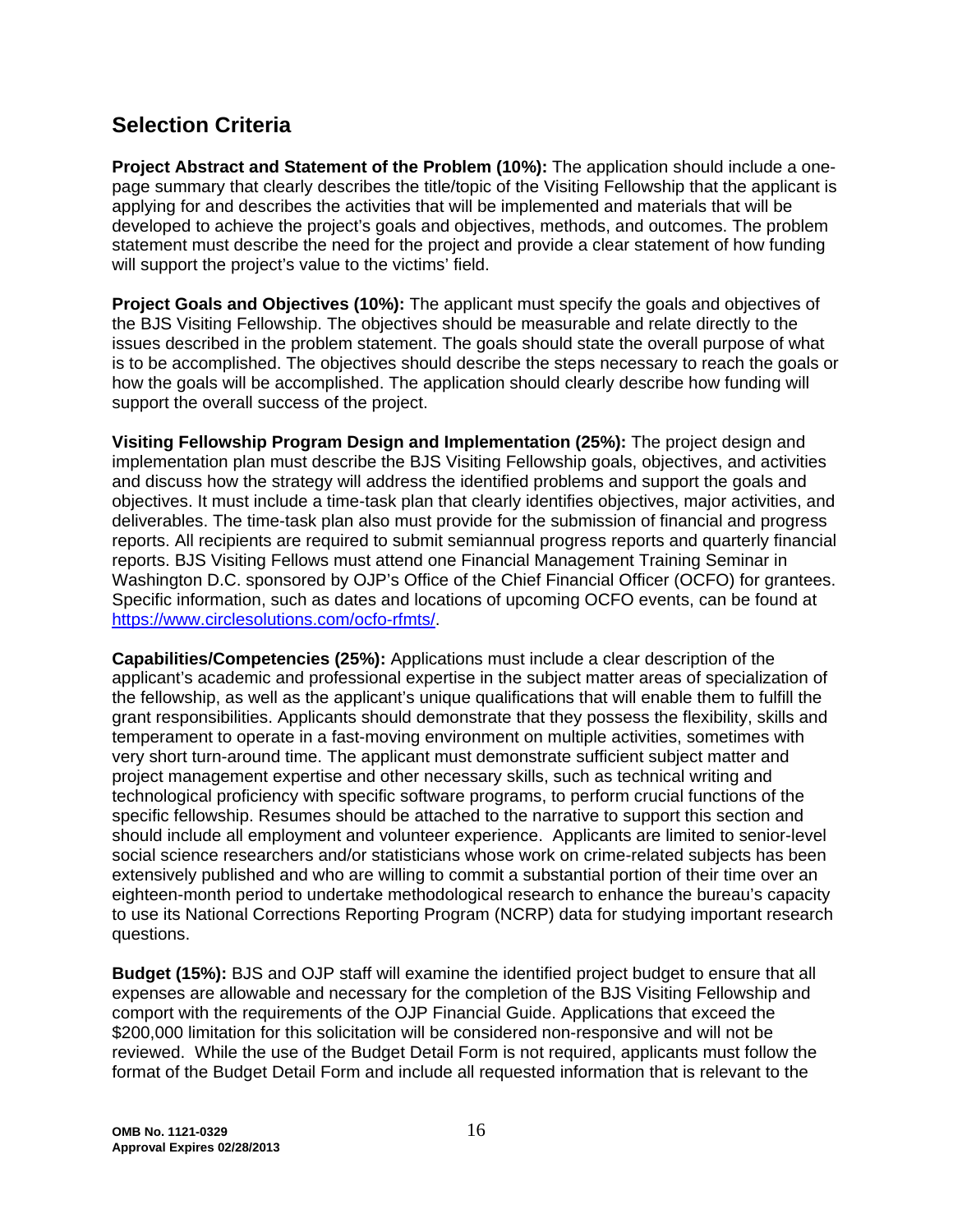# **Selection Criteria**

**Project Abstract and Statement of the Problem (10%):** The application should include a onepage summary that clearly describes the title/topic of the Visiting Fellowship that the applicant is applying for and describes the activities that will be implemented and materials that will be developed to achieve the project's goals and objectives, methods, and outcomes. The problem statement must describe the need for the project and provide a clear statement of how funding will support the project's value to the victims' field.

**Project Goals and Objectives (10%):** The applicant must specify the goals and objectives of the BJS Visiting Fellowship. The objectives should be measurable and relate directly to the issues described in the problem statement. The goals should state the overall purpose of what is to be accomplished. The objectives should describe the steps necessary to reach the goals or how the goals will be accomplished. The application should clearly describe how funding will support the overall success of the project.

**Visiting Fellowship Program Design and Implementation (25%):** The project design and implementation plan must describe the BJS Visiting Fellowship goals, objectives, and activities and discuss how the strategy will address the identified problems and support the goals and objectives. It must include a time-task plan that clearly identifies objectives, major activities, and deliverables. The time-task plan also must provide for the submission of financial and progress reports. All recipients are required to submit semiannual progress reports and quarterly financial reports. BJS Visiting Fellows must attend one Financial Management Training Seminar in Washington D.C. sponsored by OJP's Office of the Chief Financial Officer (OCFO) for grantees. Specific information, such as dates and locations of upcoming OCFO events, can be found at https://www.circlesolutions.com/ocfo-rfmts/.

**Capabilities/Competencies (25%):** Applications must include a clear description of the applicant's academic and professional expertise in the subject matter areas of specialization of the fellowship, as well as the applicant's unique qualifications that will enable them to fulfill the grant responsibilities. Applicants should demonstrate that they possess the flexibility, skills and temperament to operate in a fast-moving environment on multiple activities, sometimes with very short turn-around time. The applicant must demonstrate sufficient subject matter and project management expertise and other necessary skills, such as technical writing and technological proficiency with specific software programs, to perform crucial functions of the specific fellowship. Resumes should be attached to the narrative to support this section and should include all employment and volunteer experience. Applicants are limited to senior-level social science researchers and/or statisticians whose work on crime-related subjects has been extensively published and who are willing to commit a substantial portion of their time over an eighteen-month period to undertake methodological research to enhance the bureau's capacity to use its National Corrections Reporting Program (NCRP) data for studying important research questions.

**Budget (15%):** BJS and OJP staff will examine the identified project budget to ensure that all expenses are allowable and necessary for the completion of the BJS Visiting Fellowship and comport with the requirements of the OJP Financial Guide. Applications that exceed the \$200,000 limitation for this solicitation will be considered non-responsive and will not be reviewed. While the use of the Budget Detail Form is not required, applicants must follow the format of the Budget Detail Form and include all requested information that is relevant to the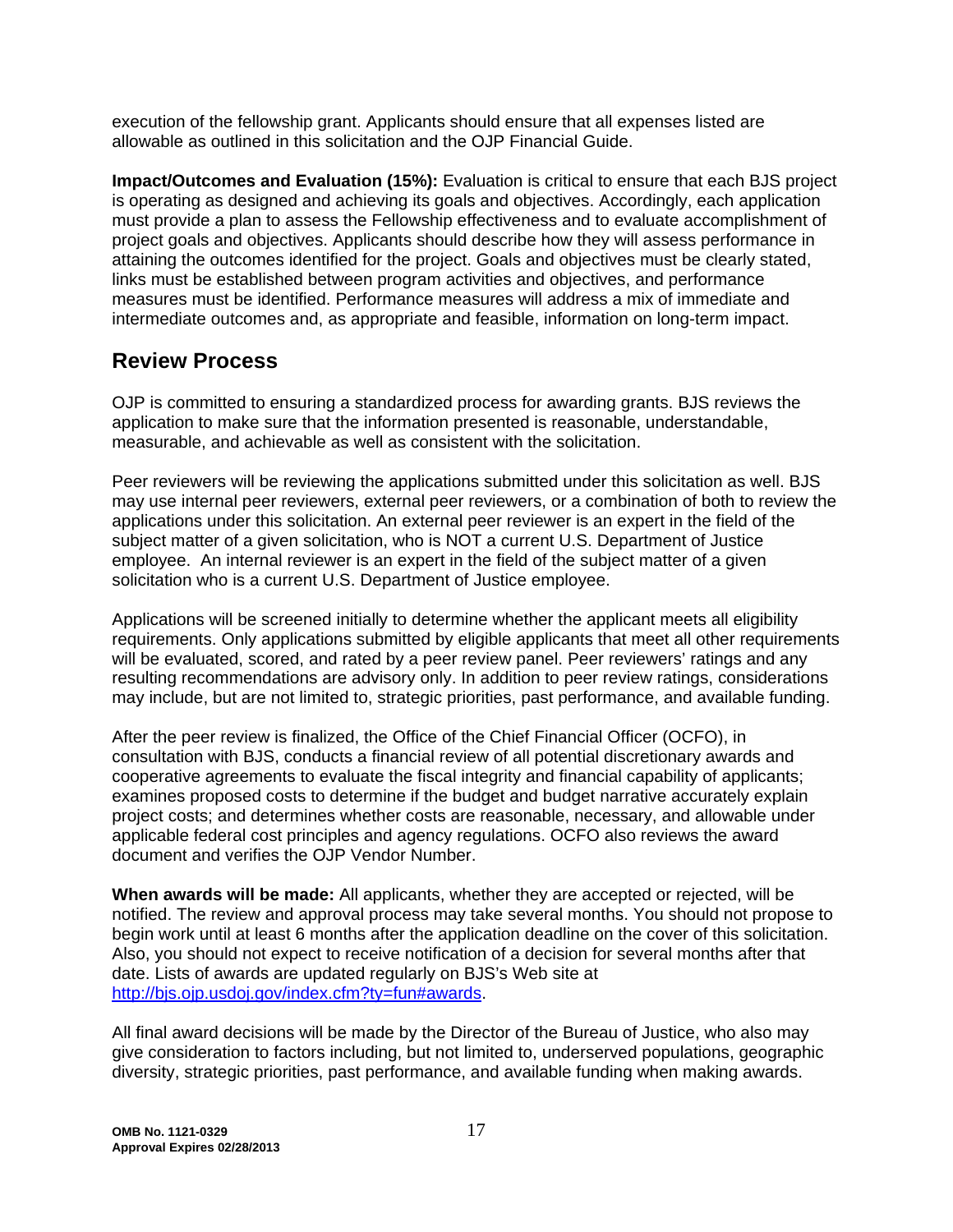execution of the fellowship grant. Applicants should ensure that all expenses listed are allowable as outlined in this solicitation and the OJP Financial Guide.

**Impact/Outcomes and Evaluation (15%):** Evaluation is critical to ensure that each BJS project is operating as designed and achieving its goals and objectives. Accordingly, each application must provide a plan to assess the Fellowship effectiveness and to evaluate accomplishment of project goals and objectives. Applicants should describe how they will assess performance in attaining the outcomes identified for the project. Goals and objectives must be clearly stated, links must be established between program activities and objectives, and performance measures must be identified. Performance measures will address a mix of immediate and intermediate outcomes and, as appropriate and feasible, information on long-term impact.

## **Review Process**

OJP is committed to ensuring a standardized process for awarding grants. BJS reviews the application to make sure that the information presented is reasonable, understandable, measurable, and achievable as well as consistent with the solicitation.

Peer reviewers will be reviewing the applications submitted under this solicitation as well. BJS may use internal peer reviewers, external peer reviewers, or a combination of both to review the applications under this solicitation. An external peer reviewer is an expert in the field of the subject matter of a given solicitation, who is NOT a current U.S. Department of Justice employee. An internal reviewer is an expert in the field of the subject matter of a given solicitation who is a current U.S. Department of Justice employee.

Applications will be screened initially to determine whether the applicant meets all eligibility requirements. Only applications submitted by eligible applicants that meet all other requirements will be evaluated, scored, and rated by a peer review panel. Peer reviewers' ratings and any resulting recommendations are advisory only. In addition to peer review ratings, considerations may include, but are not limited to, strategic priorities, past performance, and available funding.

After the peer review is finalized, the Office of the Chief Financial Officer (OCFO), in consultation with BJS, conducts a financial review of all potential discretionary awards and cooperative agreements to evaluate the fiscal integrity and financial capability of applicants; examines proposed costs to determine if the budget and budget narrative accurately explain project costs; and determines whether costs are reasonable, necessary, and allowable under applicable federal cost principles and agency regulations. OCFO also reviews the award document and verifies the OJP Vendor Number.

**When awards will be made:** All applicants, whether they are accepted or rejected, will be notified. The review and approval process may take several months. You should not propose to begin work until at least 6 months after the application deadline on the cover of this solicitation. Also, you should not expect to receive notification of a decision for several months after that date. Lists of awards are updated regularly on BJS's Web site at http://bjs.ojp.usdoj.gov/index.cfm?ty=fun#awards.

All final award decisions will be made by the Director of the Bureau of Justice, who also may give consideration to factors including, but not limited to, underserved populations, geographic diversity, strategic priorities, past performance, and available funding when making awards.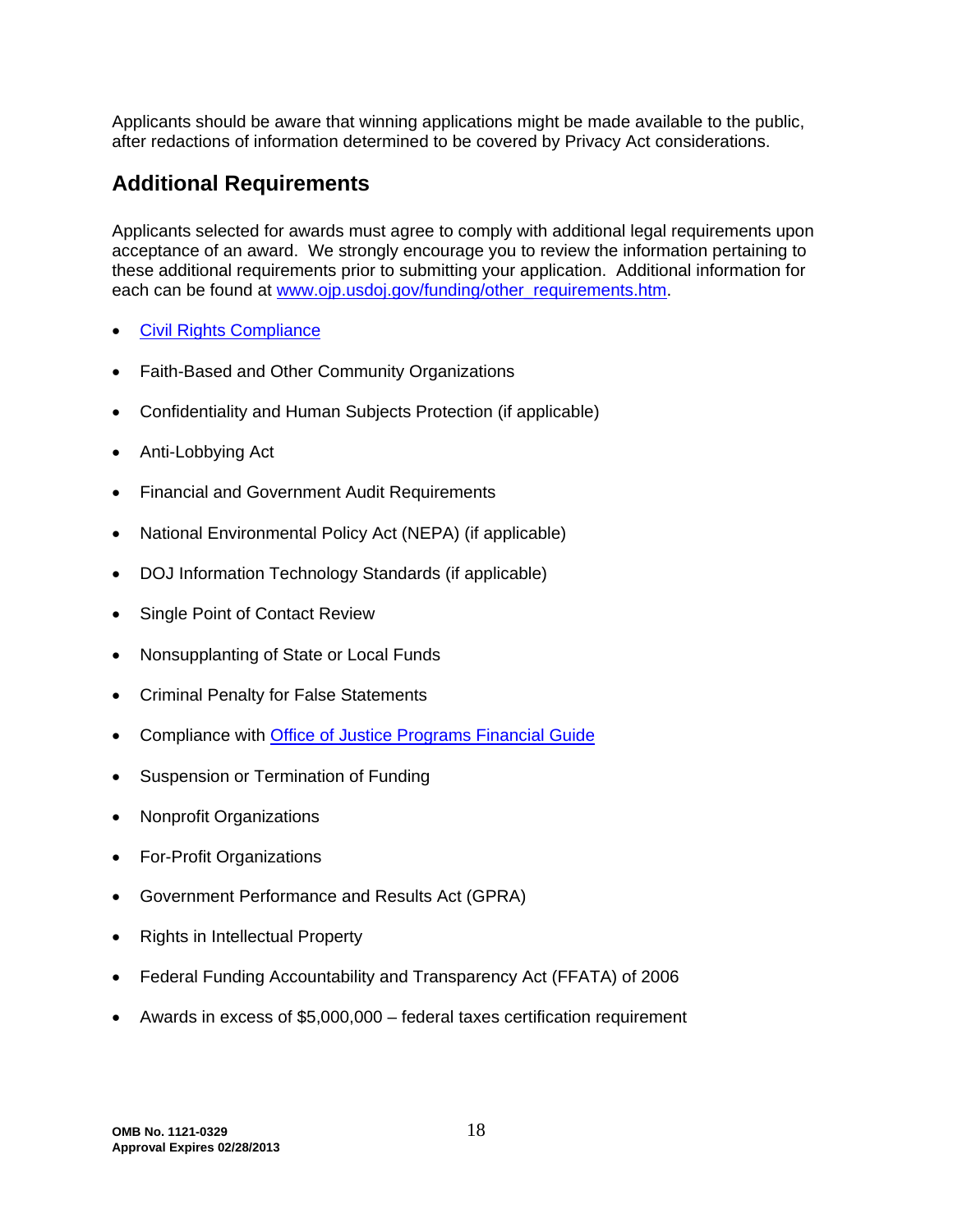Applicants should be aware that winning applications might be made available to the public, after redactions of information determined to be covered by Privacy Act considerations.

# **Additional Requirements**

Applicants selected for awards must agree to comply with additional legal requirements upon acceptance of an award. We strongly encourage you to review the information pertaining to these additional requirements prior to submitting your application. Additional information for each can be found at www.ojp.usdoj.gov/funding/other\_requirements.htm.

- [Civil Rights Compliance](http://www.ojp.usdoj.gov/about/ocr/statutes.htm)
- Faith-Based and Other Community Organizations
- Confidentiality and Human Subjects Protection (if applicable)
- Anti-Lobbying Act
- Financial and Government Audit Requirements
- National Environmental Policy Act (NEPA) (if applicable)
- DOJ Information Technology Standards (if applicable)
- Single Point of Contact Review
- Nonsupplanting of State or Local Funds
- Criminal Penalty [for False Statements](http://www.ojp.usdoj.gov/financialguide/index.htm)
- Compliance with [Office of Justice Programs Financial Guide](http://www.ojp.usdoj.gov/financialguide/index.htm)
- Suspension or Termination of Funding
- Nonprofit Organizations
- For-Profit Organizations
- Government Performance and Results Act (GPRA)
- Rights in Intellectual Property
- Federal Funding Accountability and Transparency Act (FFATA) of 2006
- Awards in excess of \$5,000,000 federal taxes certification requirement